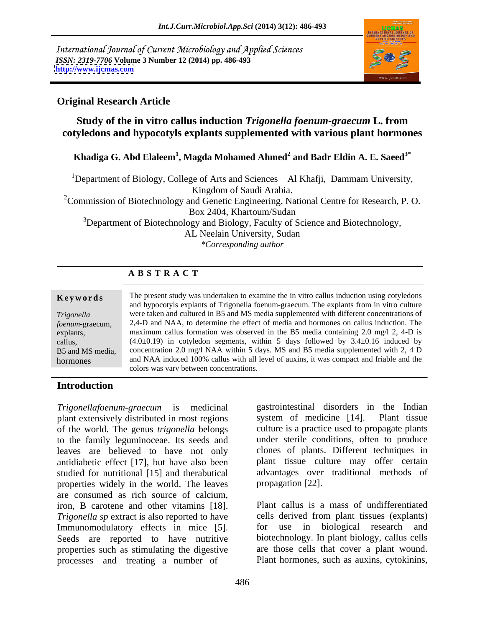International Journal of Current Microbiology and Applied Sciences *ISSN: 2319-7706* **Volume 3 Number 12 (2014) pp. 486-493 <http://www.ijcmas.com>**



### **Original Research Article**

## **Study of the in vitro callus induction** *Trigonella foenum-graecum* **L. from cotyledons and hypocotyls explants supplemented with various plant hormones**

### **Khadiga G. Abd Elaleem<sup>1</sup> , Magda Mohamed Ahmed<sup>2</sup> and Badr Eldin A. E. Saeed3\***

<sup>1</sup>Department of Biology, College of Arts and Sciences – Al Khafji, Dammam University, Kingdom of Saudi Arabia.

<sup>2</sup>Commission of Biotechnology and Genetic Engineering, National Centre for Research, P.O. Box 2404, Khartoum/Sudan

 $3$ Department of Biotechnology and Biology, Faculty of Science and Biotechnology,

AL Neelain University, Sudan

*\*Corresponding author*

### **A B S T R A C T**

**Keywords** The present study was undertaken to examine the in vitro callus induction using cotyledons *Trigonella*  were taken and cultured in B5 and MS media supplemented with different concentrations of *foenum-*graecum, 2,4-D and NAA, to determine the effect of media and hormones on callusinduction. The explants, maximum callus formation was observed in the B5 media containing 2.0 mg/l 2, 4-D is callus,  $(4.0\pm0.19)$  in cotyledon segments, within 5 days followed by  $3.4\pm0.16$  induced by B5 and MS media, concentration 2.0 mg/l NAA within 5 days. MS and B5 media supplemented with 2, 4 D hormones and NAA induced 100% callus with all level of auxins, it was compact and friable and the and hypocotyls explants of Trigonella foenum-graecum. The explants from in vitro culture colors was vary between concentrations.

### **Introduction**

*Trigonellafoenum-graecum* is medicinal gastrointestinal disorders in the Indian plant extensively distributed in most regions system of medicine [14]. Plant tissue plant extensively distributed in most regions of the world. The genus *trigonella* belongs to the family leguminoceae. Its seeds and leaves are believed to have not only antidiabetic effect [17], but have also been studied for nutritional [15] and therabutical properties widely in the world. The leaves are consumed as rich source of calcium, iron, B carotene and other vitamins [18]. *Trigonella sp* extract is also reported to have Immunomodulatory effects in mice [5]. So to use in biological research and Seeds are reported to have nutritive biotechnology. In plant biology, callus cells properties such as stimulating the digestive processes and treating a number of

gastrointestinal disorders in the Indian system of medicine [14]. Plant tissue culture is a practice used to propagate plants under sterile conditions, often to produce clones of plants. Different techniques in plant tissue culture may offer certain advantages over traditional methods of propagation [22].

Plant callus is a mass of undifferentiated cells derived from plant tissues (explants) for use in biological research and biotechnology. In plant biology, callus cells are those cells that cover a plant wound. Plant hormones, such as auxins, cytokinins,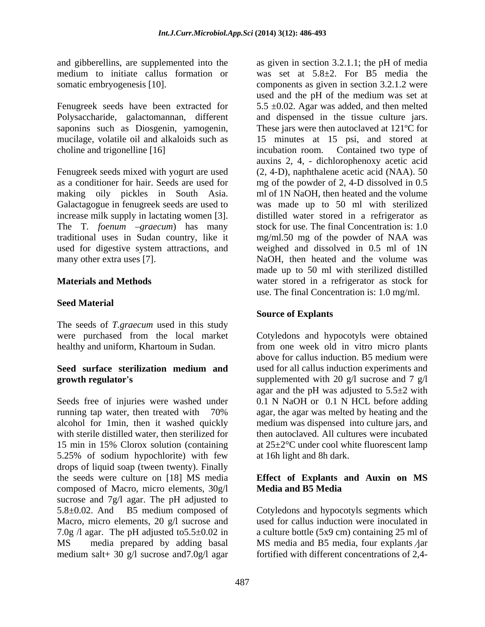choline and trigonelline [16] incubation room. Contained two type of

Galactagogue in fenugreek seeds are used to increase milk supply in lactating women [3]. used for digestive system attractions, and

The seeds of *T.graecum* used in this study

alcohol for 1min, then it washed quickly 5.25% of sodium hypochlorite) with few drops of liquid soap (tween twenty). Finally the seeds were culture on [18] MS media **Effect of Explants and Auxin on MS** composed of Macro, micro elements,  $30g/l$  Media and B5 Media sucrose and 7g/l agar. The pH adjusted to  $5.8 \pm 0.02$ . And B5 medium composed of 5.8±0.02. And B5 medium composed of Cotyledons and hypocotyls segments which Macro, micro elements, 20 g/l sucrose and 7.0g /l agar. The pH adjusted to5.5±0.02 in a culture bottle (5x9 cm) containing 25 ml of MS media prepared by adding basal MS media and B5 media, four explants jar medium salt+ 30 g/l sucrose and7.0g/l agar fortified with different concentrations of 2,4-

and gibberellins, are supplemented into the as given in section 3.2.1.1; the pH of media medium to initiate callus formation or was set at 5.8±2. For B5 media the somatic embryogenesis [10]. components as given in section 3.2.1.2 were Fenugreek seeds have been extracted for 5.5  $\pm$ 0.02. Agar was added, and then melted Polysaccharide, galactomannan, different and dispensed in the tissue culture jars. saponins such as Diosgenin, yamogenin, These jars were then autoclaved at 121ºC for mucilage, volatile oil and alkaloids such as 15 minutes at 15 psi, and stored at Fenugreek seeds mixed with yogurt are used (2, 4-D), naphthalene acetic acid (NAA). 50 as a conditioner for hair. Seeds are used for mg of the powder of 2, 4-D dissolved in 0.5 making oily pickles in South Asia. ml of 1N NaOH, then heated and the volume The T. *foenum*  $-graecum$ ) has many stock for use. The final Concentration is: 1.0 traditional uses in Sudan country, like it mg/ml.50 mg of the powder of NAA was many other extra uses [7]. NaOH, then heated and the volume was **Materials and Methods** water stored in a refrigerator as stock for use. The final Concentration is: 1.0 mg/ml.<br>Seed Material used and the pH of the medium was set at incubation room. Contained two type of auxins 2, 4, - dichlorophenoxy acetic acid was made up to 50 ml with sterilized distilled water stored in a refrigerator as weighed and dissolved in 0.5 ml of 1N made up to 50 ml with sterilized distilled water stored in a refrigerator as stock for use. The final Concentration is: 1.0 mg/ml.

### **Source of Explants**

were purchased from the local market Cotyledons and hypocotyls were obtained healthy and uniform, Khartoum in Sudan. from one week old in vitro micro plants **Seed surface sterilization medium and growth regulator's** supplemented with 20 g/l sucrose and 7 g/l Seeds free of injuries were washed under 0.1 N NaOH or 0.1 N HCL before adding running tap water, then treated with 70% agar, the agar was melted by heating and the with sterile distilled water, then sterilized for then autoclaved. All cultures were incubated 15 min in 15% Clorox solution (containing at 25±2°C under cool white fluorescent lamp above for callus induction. B5 medium were used for all callus induction experiments and agar and the pH was adjusted to  $5.5\pm2$  with medium was dispensed into culture jars, and at 16h light and 8h dark.

# **Media and B5 Media**

used for callus induction were inoculated in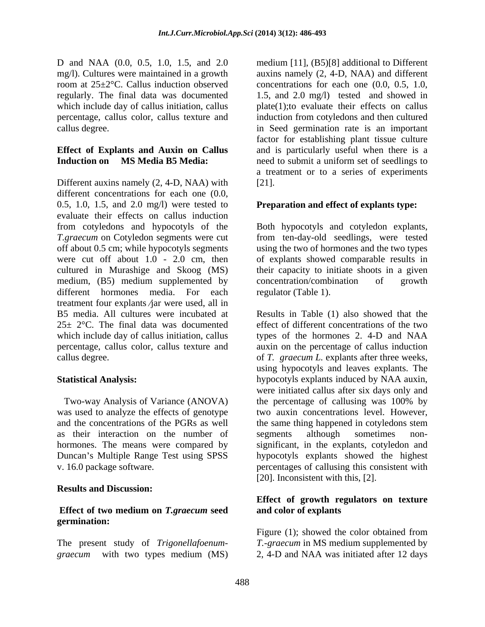D and NAA (0.0, 0.5, 1.0, 1.5, and 2.0 which include day of callus initiation, callus

Different auxins namely  $(2, 4-D, NAA)$  with [21]. different concentrations for each one  $(0.0, 1)$ 0.5, 1.0, 1.5, and 2.0 mg/l) were tested to **Preparation and effect of explants type:** evaluate their effects on callus induction from cotyledons and hypocotyls of the Both hypocotyls and cotyledon explants, *T.graecum* on Cotyledon segments were cut from ten-day-old seedlings, were tested off about 0.5 cm; while hypocotyls segments using the two of hormones and the two types were cut off about 1.0 - 2.0 cm, then of explants showed comparable results in cultured in Murashige and Skoog (MS) their capacity to initiate shoots in a given medium, (B5) medium supplemented by concentration/combination of growth different hormones media. For each treatment four explants  $/ar$  were used, all in

as their interaction on the number of segments although sometimes non-Duncan's Multiple Range Test using SPSS

### **Results and Discussion:**

# **germination:**

The present study of *Trigonellafoenum graecum* with two types medium (MS) 2, 4-D and NAA was initiated after 12 days

mg/l). Cultures were maintained in a growth auxins namely (2, 4-D, NAA) and different room at 25±2°C. Callus induction observed concentrations for each one (0.0, 0.5, 1.0, regularly. The final data was documented 1.5, and 2.0 mg/l) tested and showed in percentage, callus color, callus texture and induction from cotyledons and then cultured callus degree. in Seed germination rate is an important **Effect of Explants and Auxin on Callus** and is particularly useful when there is a **Induction on MS Media B5 Media:** need to submit a uniform set of seedlings to medium [11], (B5)[8] additional to Different plate(1);to evaluate their effects on callus factor for establishing plant tissue culture a treatment or to a series of experiments [21].

concentration/combination of growth regulator (Table 1).

B5 media. All cultures were incubated at Results in Table (1) also showed that the  $25\pm 2$ °C. The final data was documented effect of different concentrations of the two which include day of callus initiation, callus types of the hormones 2. 4-D and NAA percentage, callus color, callus texture and auxin on the percentage of callus induction callus degree. of *T. graecum L.* explants after three weeks, **Statistical Analysis:** hypocotyls explants induced by NAA auxin, Two-way Analysis of Variance (ANOVA) the percentage of callusing was 100% by was used to analyze the effects of genotype two auxin concentrations level. However, and the concentrations of the PGRs as well the same thing happened in cotyledons stem hormones. The means were compared by significant, in the explants, cotyledon and v. 16.0 package software. percentages of callusing this consistent with using hypocotyls and leaves explants. The were initiated callus after six days only and the percentage of callusing was 100% by segments although sometimes non hypocotyls explants showed the highest [20]. Inconsistent with this, [2].

### **Effect of two medium on** *T.graecum* **seed Effect of growth regulators on texture and color of explants**

Figure (1); showed the color obtained from *T.-graecum* in MS medium supplemented by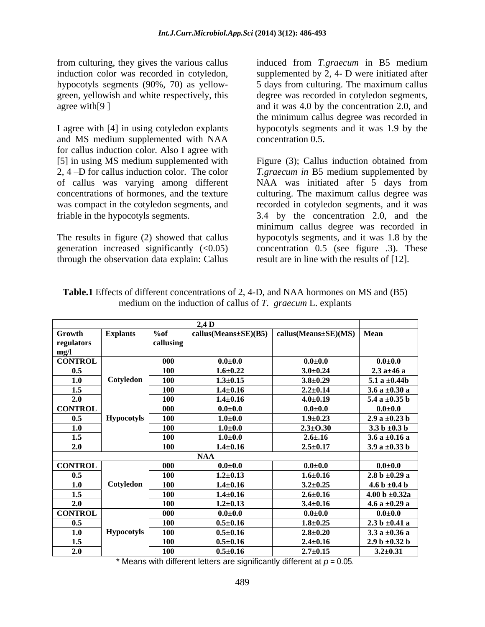from culturing, they gives the various callus

and MS medium supplemented with NAA for callus induction color. Also I agree with [5] in using MS medium supplemented with

through the observation data explain: Callus

induction color was recorded in cotyledon, supplemented by 2, 4- D were initiated after hypocotyls segments (90%, 70) as yellow- 5 days from culturing. The maximum callus green, yellowish and white respectively, this degree was recorded in cotyledon segments, agree with [9] and it was 4.0 by the concentration 2.0, and I agree with [4] in using cotyledon explants hypocotyls segments and it was 1.9 by the induced from *T.graecum* in B5 medium the minimum callus degree was recorded in concentration 0.5.

2, 4 –D for callus induction color. The color *T.graecum in* B5 medium supplemented by of callus was varying among different NAA was initiated after 5 days from concentrations of hormones, and the texture culturing. The maximum callus degree was was compact in the cotyledon segments, and recorded in cotyledon segments, and it was friable in the hypocotyls segments. 3.4 by the concentration 2.0, and the The results in figure (2) showed that callus hypocotyls segments, and it was 1.8 by the generation increased significantly (<0.05) concentration 0.5 (see figure .3). These Figure (3); Callus induction obtained from minimum callus degree was recorded in result are in line with the results of [12].

|                | $2,4$ D           |            |                                                                |                |                    |  |
|----------------|-------------------|------------|----------------------------------------------------------------|----------------|--------------------|--|
| Growth         | <b>Explants</b>   | % of       | callus(Means $\pm$ SE)(B5)   callus(Means $\pm$ SE)(MS)   Mean |                |                    |  |
| regulators     |                   | callusing  |                                                                |                |                    |  |
| mg/l           |                   |            |                                                                |                |                    |  |
| <b>CONTROL</b> |                   | 000        | $0.0{\scriptstyle \pm0.0}$                                     | $0.0{\pm}0.0$  | $0.0{\pm}0.0$      |  |
| 0.5            |                   | <b>100</b> | $1.6 \pm 0.22$                                                 | $3.0 \pm 0.24$ | $2.3 a \pm 46 a$   |  |
| 1.0            | Cotyledon         | 100        | $1.3 \pm 0.15$                                                 | $3.8 \pm 0.29$ | 5.1 a $\pm 0.44b$  |  |
| 1.5            |                   | <b>100</b> | $1.4 \pm 0.16$                                                 | $2.2 \pm 0.14$ | $3.6a \pm 0.30a$   |  |
| 2.0            |                   | 100        | $1.4 \pm 0.16$                                                 | $4.0{\pm}0.19$ | 5.4 a $\pm 0.35$ b |  |
| <b>CONTROL</b> |                   | 000        | $0.0{\scriptstyle \pm0.0}$                                     | $0.0{\pm}0.0$  | $0.0{\pm}0.0$      |  |
| 0.5            | <b>Hypocotyls</b> | <b>100</b> | $1.0{\scriptstyle \pm0.0}$                                     | $1.9 \pm 0.23$ | 2.9 a $\pm 0.23$ b |  |
| 1.0            |                   | <b>100</b> | $1.0 + 0.0$                                                    | $2.3 \pm 0.30$ | $3.3 b \pm 0.3 b$  |  |
| 1.5            |                   | <b>100</b> | $1.0 + 0.0$                                                    | $2.6{\pm}.16$  | $3.6a \pm 0.16a$   |  |
| 2.0            |                   | <b>100</b> | $1.4 \pm 0.16$                                                 | $2.5 \pm 0.17$ | $3.9 a \pm 0.33 b$ |  |
|                | NAA               |            |                                                                |                |                    |  |
| <b>CONTROL</b> |                   | 000        | $0.0{\scriptstyle \pm0.0}$                                     | $0.0{\pm}0.0$  | $0.0{\pm}0.0$      |  |
| 0.5            |                   | <b>100</b> | $1.2 \pm 0.13$                                                 | $1.6 \pm 0.16$ | $2.8 b \pm 0.29 a$ |  |
| 1.0            | Cotyledon         | <b>100</b> | $1.4 \pm 0.16$                                                 | $3.2 \pm 0.25$ | 4.6 b $\pm 0.4$ b  |  |
| 1.5            |                   | <b>100</b> | $1.4 \pm 0.16$                                                 | $2.6 \pm 0.16$ | 4.00 b $\pm 0.32a$ |  |
| 2.0            |                   | <b>100</b> | $1.2 \pm 0.13$                                                 | $3.4 \pm 0.16$ | 4.6 a $\pm 0.29$ a |  |
| <b>CONTROL</b> |                   | 000        | $0.0{\scriptstyle \pm0.0}$                                     | $0.0{\pm}0.0$  | $0.0{\pm}0.0$      |  |
| 0.5            |                   | <b>100</b> | $0.5 \pm 0.16$                                                 | $1.8 + 0.25$   | $2.3 b \pm 0.41 a$ |  |
| 1.0            | <b>Hypocotyls</b> | 100        | $0.5 \pm 0.16$                                                 | $2.8{\pm}0.20$ | $3.3 a \pm 0.36 a$ |  |
| 1.5            |                   | <b>100</b> | $0.5 \pm 0.16$                                                 | $2.4 \pm 0.16$ | 2.9 b $\pm 0.32$ b |  |
| 2.0            |                   | <b>100</b> | $0.5 \pm 0.16$                                                 | $2.7 \pm 0.15$ | $3.2 \pm 0.31$     |  |

**Table.1** Effects of different concentrations of 2, 4-D, and NAA hormones on MS and (B5) medium on the induction of callus of *T. graecum* L. explants

\* Means with different letters are significantly different at  $p = 0.05$ .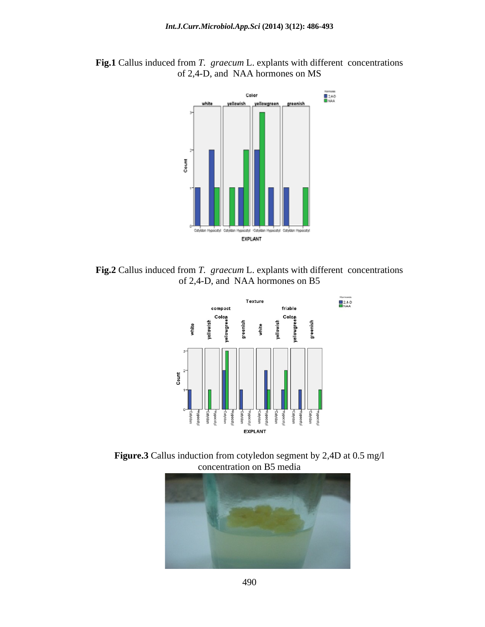

**Fig.1** Callus induced from *T. graecum* L. explants with different concentrations of 2,4-D, and NAA hormones on MS

**Fig.2** Callus induced from *T. graecum* L. explants with different concentrations of 2,4-D, and NAA hormones on B5



**Figure.3** Callus induction from cotyledon segment by 2,4D at 0.5 mg/l concentration on B5 media

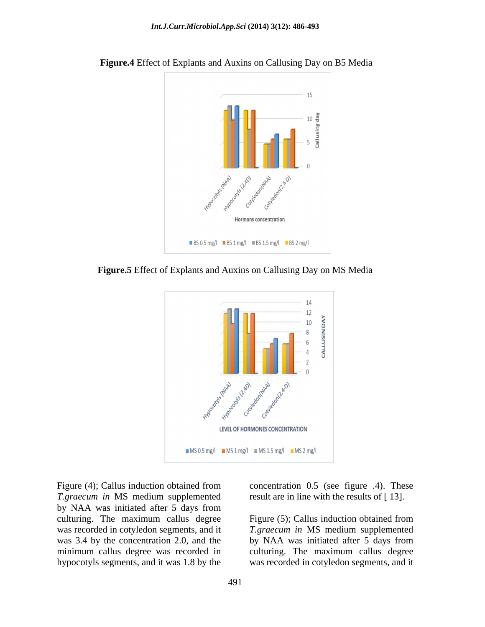

 **Figure.4** Effect of Explants and Auxins on Callusing Day on B5 Media

**Figure.5** Effect of Explants and Auxins on Callusing Day on MS Media



*T.graecum in* MS medium supplemented result are in line with the results of [13]. by NAA was initiated after 5 days from culturing. The maximum callus degree

Figure (4); Callus induction obtained from concentration 0.5 (see figure .4). These

was recorded in cotyledon segments, and it *T.graecum in* MS medium supplemented was 3.4 by the concentration 2.0, and the by NAA was initiated after 5 days from minimum callus degree was recorded in culturing. The maximum callus degree hypocotyls segments, and it was 1.8 by the was recorded in cotyledon segments, and it Figure (5); Callus induction obtained from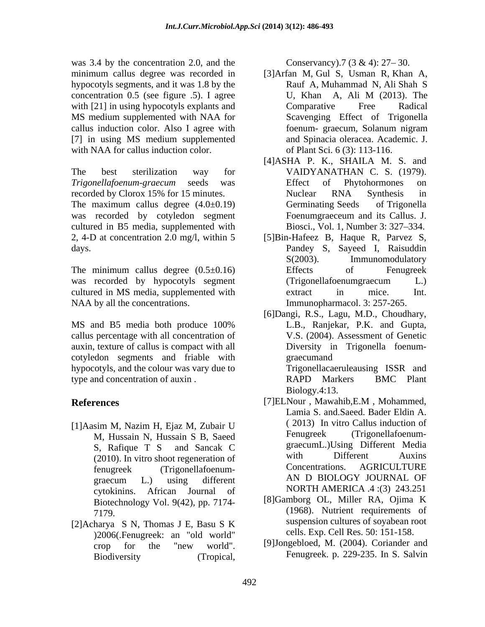was 3.4 by the concentration 2.0, and the Conservancy.  $7(3 \& 4)$ :  $27-30$ . hypocotyls segments, and it was 1.8 by the concentration 0.5 (see figure .5). I agree TU, Khan A, Ali M (2013). The with [21] in using hypocotyls explants and Comparative Free Radical MS medium supplemented with NAA for callus induction color. Also I agree with [7] in using MS medium supplemented with NAA for callus induction color.

The best sterilization way for VAIDYANATHAN C. S. (1979). *Trigonellafoenum-graecum* seeds was recorded by Clorox 15% for 15 minutes. The maximum callus degree  $(4.0\pm0.19)$  Germinating Seeds of Trigonella was recorded by cotyledon segment Foenumgraeceum and its Callus. J. cultured in B5 media, supplemented with 2, 4-D at concentration 2.0 mg/l, within 5 [5]Bin-Hafeez B, Haque R, Parvez S, days. Pandey S, Sayeed I, Raisuddin

The minimum callus degree  $(0.5\pm0.16)$  Effects of Fenugreek was recorded by hypocotyls segment (Trigonellafoenumgraecum L.) cultured in MS media, supplemented with NAA by all the concentrations.

callus percentage with all concentration of auxin, texture of callus is compact with all cotyledon segments and friable with hypocotyls, and the colour was vary due to type and concentration of auxin . The RAPD Markers BMC Plant

- [1]Aasim M, Nazim H, Ejaz M, Zubair U (2013) In vitro Callus induction of<br>M. Hussain N. Hussain S. B. Saeed Fenugreek (Trigonellafoenum-M, Hussain N, Hussain S B, Saeed cytokinins. African Journal of Biotechnology Vol. 9(42), pp. 7174-
- [2]Acharya S N, Thomas J E, Basu S K )2006(.Fenugreek: an "old world"

- minimum callus degree was recorded in [3]Arfan M, Gul S, Usman R, Khan A, Rauf A, Muhammad N, Ali Shah S U, Khan A, Ali M (2013). The Comparative Free Radical Scavenging Effect of Trigonella foenum- graecum, Solanum nigram and Spinacia oleracea. Academic. J. of Plant Sci. 6 (3): 113-116.
	- [4]ASHA P. K., SHAILA M. S. and VAIDYANATHAN C. S. (1979). Effect of Phytohormones on Nuclear RNA Synthesis in Germinating Seeds of Trigonella Foenumgraeceum and its Callus. J. Biosci., Vol. 1, Number 3: 327–334.
	- S(2003). Immunomodulatory Effects of Fenugreek (Trigonellafoenumgraecum L.) extract in mice. Int. Immunopharmacol. 3: 257-265.
- MS and B5 media both produce 100% L.B., Ranjekar, P.K. and Gupta, [6]Dangi, R.S., Lagu, M.D., Choudhary, L.B., Ranjekar, P.K. and Gupta, V.S. (2004). Assessment of Genetic Diversity in Trigonella foenum graecumand **and** *graecumand* Trigonellacaeruleausing ISSR and RAPD Markers BMC Plant Biology.4:13.
- **References** [7]ELNour, Mawahib,E.M, Mohammed, S, Rafique T S and Sancak C (2010). In vitro shoot regeneration of with Different Auxins<br>
fenuareak (Trigonallafoenum Concentrations. AGRICULTURE fenugreek (Trigonellafoenum graecum L.) using different AN D BIOLOGY JOURNAL OF A by the consertation 2.0, and the conservancy).7 (3 & 4): 27 -30.<br>
approximately, and a state of the state of the state of the state of the state of the state of the state of the state of the state of the state of the sta [7]ELNour , Mawahib,E.M , Mohammed, Lamia S. and.Saeed. Bader Eldin A. ( 2013) In vitro Callus induction of Fenugreek (Trigonellafoenum graecumL.)Using Different Media with Different Auxins Concentrations. AGRICULTURE AN D BIOLOGY JOURNAL OF NORTH AMERICA .4 :(3) 243.251
	- 7179. (1968). Nutrient requirements of [8]Gamborg OL, Miller RA, Ojima K suspension cultures of soyabean root cells. Exp. Cell Res. 50: 151-158.
	- crop for the "new world". [9]Jongebloed, M. (2004). Coriander and [9]Jongebloed, M. (2004). Coriander and Fenugreek. p. 229-235. In S. Salvin